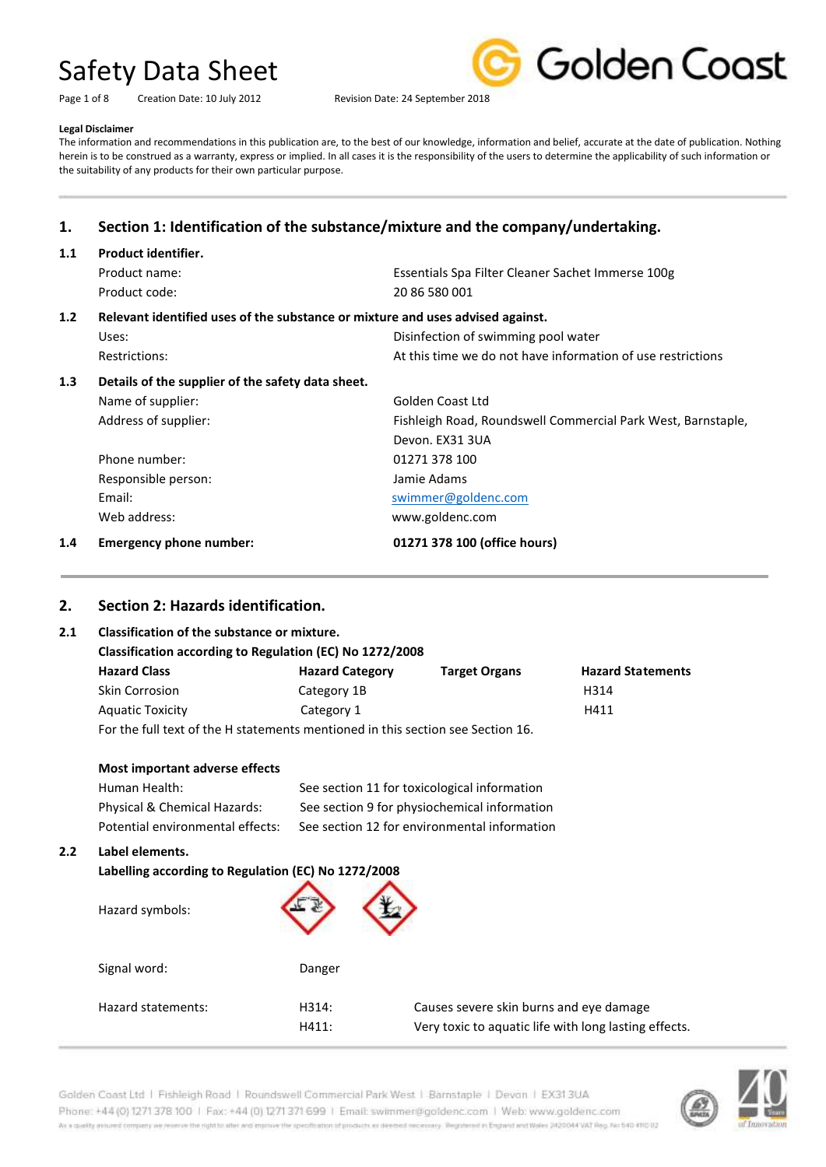| Page 1 of 8 | Creation Date: 10 July 2012 |
|-------------|-----------------------------|
|-------------|-----------------------------|



Revision Date: 24 September 2018

### **Legal Disclaimer**

The information and recommendations in this publication are, to the best of our knowledge, information and belief, accurate at the date of publication. Nothing herein is to be construed as a warranty, express or implied. In all cases it is the responsibility of the users to determine the applicability of such information or the suitability of any products for their own particular purpose.

# **1. Section 1: Identification of the substance/mixture and the company/undertaking.**

| 1.1              | Product identifier.                                                            |                                                              |  |
|------------------|--------------------------------------------------------------------------------|--------------------------------------------------------------|--|
|                  | Product name:                                                                  | Essentials Spa Filter Cleaner Sachet Immerse 100g            |  |
|                  | Product code:                                                                  | 20 86 580 001                                                |  |
| 1.2 <sub>2</sub> | Relevant identified uses of the substance or mixture and uses advised against. |                                                              |  |
|                  | Uses:                                                                          | Disinfection of swimming pool water                          |  |
|                  | <b>Restrictions:</b>                                                           | At this time we do not have information of use restrictions  |  |
| 1.3              | Details of the supplier of the safety data sheet.                              |                                                              |  |
|                  | Name of supplier:                                                              | Golden Coast Ltd                                             |  |
|                  | Address of supplier:                                                           | Fishleigh Road, Roundswell Commercial Park West, Barnstaple, |  |
|                  |                                                                                | Devon. EX31 3UA                                              |  |
|                  | Phone number:                                                                  | 01271 378 100                                                |  |
|                  | Responsible person:                                                            | Jamie Adams                                                  |  |
|                  | Email:                                                                         | swimmer@goldenc.com                                          |  |
|                  | Web address:                                                                   | www.goldenc.com                                              |  |
| 1.4              | <b>Emergency phone number:</b>                                                 | 01271 378 100 (office hours)                                 |  |

## **2. Section 2: Hazards identification.**

**2.2 Label elements.**

### **2.1 Classification of the substance or mixture.**

| Classification according to Regulation (EC) No 1272/2008                        |                        |                      |                          |
|---------------------------------------------------------------------------------|------------------------|----------------------|--------------------------|
| <b>Hazard Class</b>                                                             | <b>Hazard Category</b> | <b>Target Organs</b> | <b>Hazard Statements</b> |
| <b>Skin Corrosion</b>                                                           | Category 1B            |                      | H314                     |
| <b>Aquatic Toxicity</b>                                                         | Category 1             |                      | H411                     |
| For the full text of the H statements mentioned in this section see Section 16. |                        |                      |                          |

For the full text of the H statements mentioned in this section see Section 16.

| Most important adverse effects                                                            |                                              |
|-------------------------------------------------------------------------------------------|----------------------------------------------|
| Human Health:                                                                             | See section 11 for toxicological information |
| Physical & Chemical Hazards:                                                              | See section 9 for physiochemical information |
| Potential environmental effects:                                                          | See section 12 for environmental information |
| Label elements.<br>Labelling according to Regulation (EC) No 1272/2008<br>Hazard symbols: |                                              |
| Signal word:                                                                              | Danger                                       |

| Hazard statements: | H314: | Causes severe skin burns and eye damage               |
|--------------------|-------|-------------------------------------------------------|
|                    | H411: | Very toxic to aquatic life with long lasting effects. |



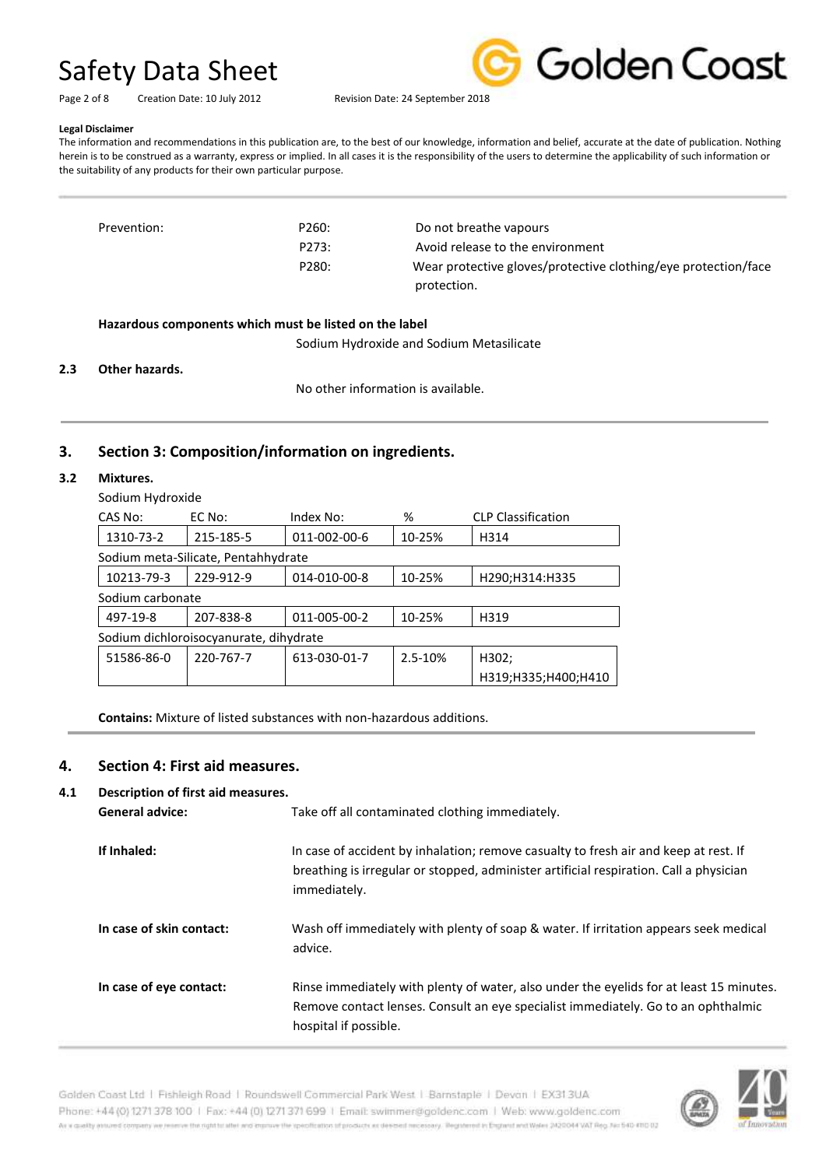Golden Coast

Page 2 of 8 Creation Date: 10 July 2012 Revision Date: 24 September 2018

### **Legal Disclaimer**

The information and recommendations in this publication are, to the best of our knowledge, information and belief, accurate at the date of publication. Nothing herein is to be construed as a warranty, express or implied. In all cases it is the responsibility of the users to determine the applicability of such information or the suitability of any products for their own particular purpose.

| Prevention: | P260: | Do not breathe vapours                                         |
|-------------|-------|----------------------------------------------------------------|
|             | P273: | Avoid release to the environment                               |
|             | P280: | Wear protective gloves/protective clothing/eye protection/face |
|             |       | protection.                                                    |

### **Hazardous components which must be listed on the label**

Sodium Hydroxide and Sodium Metasilicate

### **2.3 Other hazards.**

No other information is available.

### **3. Section 3: Composition/information on ingredients.**

### **3.2 Mixtures.**

Sodium Hydroxide

| CAS No:                                | EC No:                              | Index No:    | %       | <b>CLP Classification</b> |  |
|----------------------------------------|-------------------------------------|--------------|---------|---------------------------|--|
| 1310-73-2                              | 215-185-5                           | 011-002-00-6 | 10-25%  | H314                      |  |
|                                        | Sodium meta-Silicate, Pentahhydrate |              |         |                           |  |
| 10213-79-3                             | 229-912-9                           | 014-010-00-8 | 10-25%  | H290;H314:H335            |  |
| Sodium carbonate                       |                                     |              |         |                           |  |
| 497-19-8                               | 207-838-8                           | 011-005-00-2 | 10-25%  | H319                      |  |
| Sodium dichloroisocyanurate, dihydrate |                                     |              |         |                           |  |
| 51586-86-0                             | 220-767-7                           | 613-030-01-7 | 2.5-10% | H302;                     |  |
|                                        |                                     |              |         | H319;H335;H400;H410       |  |

**Contains:** Mixture of listed substances with non-hazardous additions.

### **4. Section 4: First aid measures.**

### **4.1 Description of first aid measures.**

| <b>General advice:</b>   | Take off all contaminated clothing immediately.                                                                                                                                                       |
|--------------------------|-------------------------------------------------------------------------------------------------------------------------------------------------------------------------------------------------------|
| If Inhaled:              | In case of accident by inhalation; remove casualty to fresh air and keep at rest. If<br>breathing is irregular or stopped, administer artificial respiration. Call a physician<br>immediately.        |
| In case of skin contact: | Wash off immediately with plenty of soap & water. If irritation appears seek medical<br>advice.                                                                                                       |
| In case of eye contact:  | Rinse immediately with plenty of water, also under the eyelids for at least 15 minutes.<br>Remove contact lenses. Consult an eye specialist immediately. Go to an ophthalmic<br>hospital if possible. |

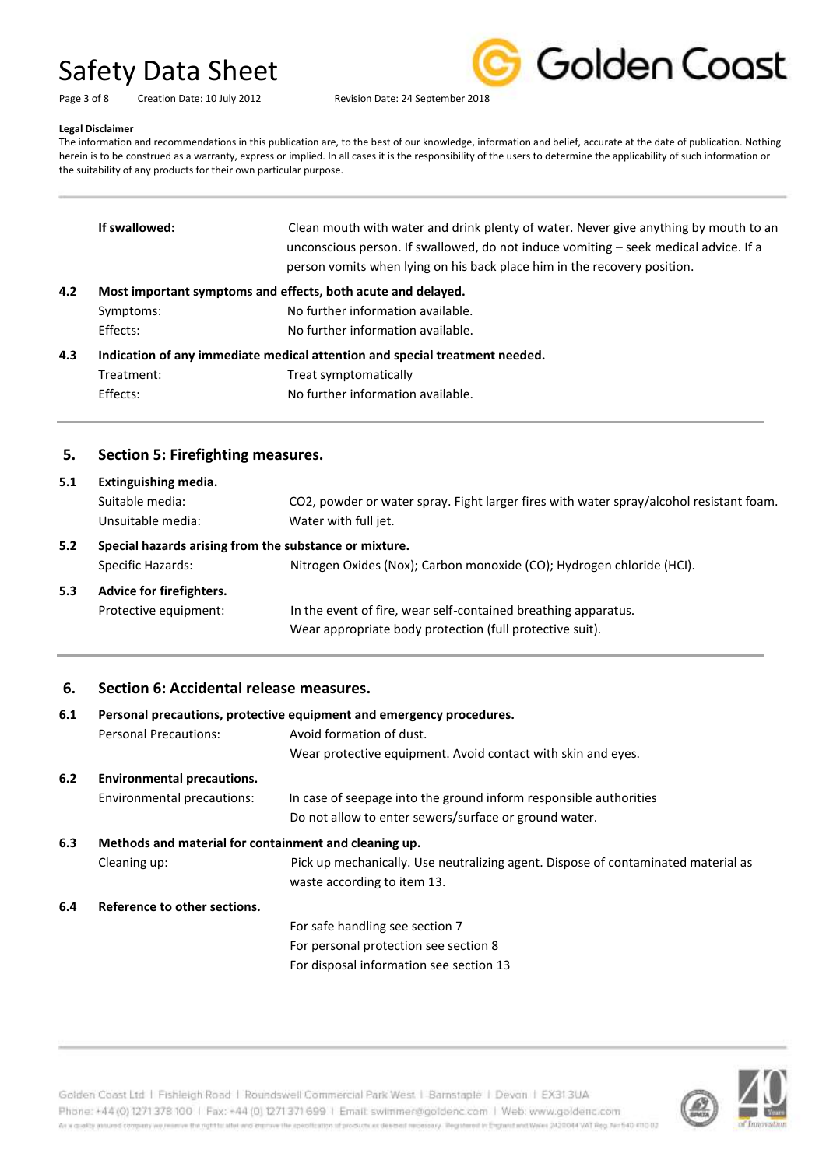| Page 3 of 8 | Creation Date: 10 July 2012 |
|-------------|-----------------------------|



### **Legal Disclaimer**

The information and recommendations in this publication are, to the best of our knowledge, information and belief, accurate at the date of publication. Nothing herein is to be construed as a warranty, express or implied. In all cases it is the responsibility of the users to determine the applicability of such information or the suitability of any products for their own particular purpose.

| 5.  | Section 5: Firefighting measures.                                           |                                                                                                                                                                                                                                                          |  |
|-----|-----------------------------------------------------------------------------|----------------------------------------------------------------------------------------------------------------------------------------------------------------------------------------------------------------------------------------------------------|--|
|     | Effects:                                                                    | No further information available.                                                                                                                                                                                                                        |  |
|     | Treatment:                                                                  | Treat symptomatically                                                                                                                                                                                                                                    |  |
| 4.3 | Indication of any immediate medical attention and special treatment needed. |                                                                                                                                                                                                                                                          |  |
|     | Effects:                                                                    | No further information available.                                                                                                                                                                                                                        |  |
|     | Symptoms:                                                                   | No further information available.                                                                                                                                                                                                                        |  |
| 4.2 | Most important symptoms and effects, both acute and delayed.                |                                                                                                                                                                                                                                                          |  |
|     | If swallowed:                                                               | Clean mouth with water and drink plenty of water. Never give anything by mouth to an<br>unconscious person. If swallowed, do not induce vomiting – seek medical advice. If a<br>person vomits when lying on his back place him in the recovery position. |  |
|     |                                                                             |                                                                                                                                                                                                                                                          |  |

## **5. Section 5: Firefighting measures.**

| 5.1                                                           | Extinguishing media.     |                                                                                                                            |
|---------------------------------------------------------------|--------------------------|----------------------------------------------------------------------------------------------------------------------------|
|                                                               | Suitable media:          | CO2, powder or water spray. Fight larger fires with water spray/alcohol resistant foam.                                    |
|                                                               | Unsuitable media:        | Water with full jet.                                                                                                       |
| Special hazards arising from the substance or mixture.<br>5.2 |                          |                                                                                                                            |
|                                                               | Specific Hazards:        | Nitrogen Oxides (Nox); Carbon monoxide (CO); Hydrogen chloride (HCI).                                                      |
| 5.3                                                           | Advice for firefighters. |                                                                                                                            |
|                                                               | Protective equipment:    | In the event of fire, wear self-contained breathing apparatus.<br>Wear appropriate body protection (full protective suit). |

## **6. Section 6: Accidental release measures.**

| 6.1 | Personal precautions, protective equipment and emergency procedures. |                                                                                   |
|-----|----------------------------------------------------------------------|-----------------------------------------------------------------------------------|
|     | <b>Personal Precautions:</b>                                         | Avoid formation of dust.                                                          |
|     |                                                                      | Wear protective equipment. Avoid contact with skin and eyes.                      |
| 6.2 | <b>Environmental precautions.</b>                                    |                                                                                   |
|     | Environmental precautions:                                           | In case of seepage into the ground inform responsible authorities                 |
|     |                                                                      | Do not allow to enter sewers/surface or ground water.                             |
| 6.3 | Methods and material for containment and cleaning up.                |                                                                                   |
|     | Cleaning up:                                                         | Pick up mechanically. Use neutralizing agent. Dispose of contaminated material as |
|     |                                                                      | waste according to item 13.                                                       |
| 6.4 | Reference to other sections.                                         |                                                                                   |
|     |                                                                      | For safe handling see section 7                                                   |
|     |                                                                      | For personal protection see section 8                                             |
|     |                                                                      | For disposal information see section 13                                           |



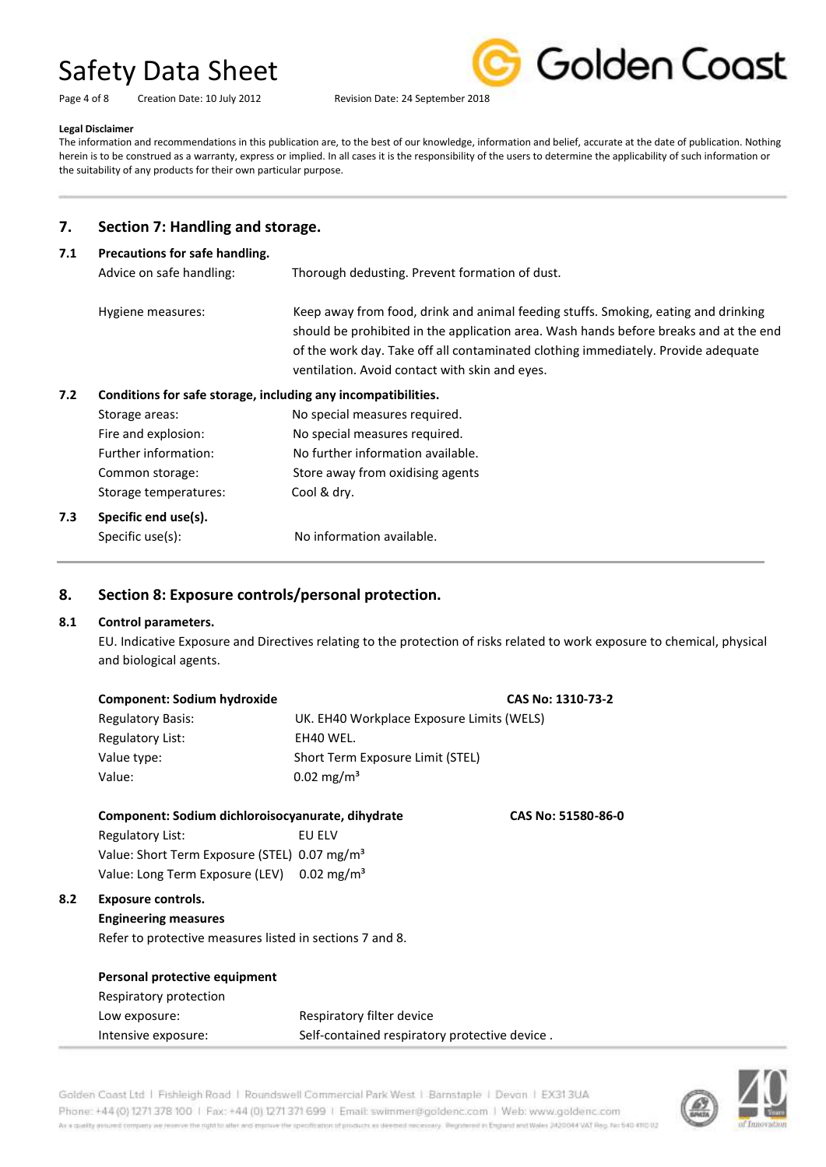| Page 4 of 8 | Creation Date: 10 July 201 |
|-------------|----------------------------|



Page 4 of 8 Creation Date: 10 July 2012 Revision Date: 24 September 2018

### **Legal Disclaimer**

The information and recommendations in this publication are, to the best of our knowledge, information and belief, accurate at the date of publication. Nothing herein is to be construed as a warranty, express or implied. In all cases it is the responsibility of the users to determine the applicability of such information or the suitability of any products for their own particular purpose.

## **7. Section 7: Handling and storage.**

### **7.1 Precautions for safe handling.**

| Advice on safe handling: | Thorough dedusting. Prevent formation of dust.                                                                                                                                                                                                                                                                     |
|--------------------------|--------------------------------------------------------------------------------------------------------------------------------------------------------------------------------------------------------------------------------------------------------------------------------------------------------------------|
| Hygiene measures:        | Keep away from food, drink and animal feeding stuffs. Smoking, eating and drinking<br>should be prohibited in the application area. Wash hands before breaks and at the end<br>of the work day. Take off all contaminated clothing immediately. Provide adequate<br>ventilation. Avoid contact with skin and eyes. |
|                          |                                                                                                                                                                                                                                                                                                                    |

# **7.2 Conditions for safe storage, including any incompatibilities.**

| 7.3 | Specific end use(s).  |                                   |
|-----|-----------------------|-----------------------------------|
|     | Storage temperatures: | Cool & dry.                       |
|     | Common storage:       | Store away from oxidising agents  |
|     | Further information:  | No further information available. |
|     | Fire and explosion:   | No special measures required.     |
|     | Storage areas:        | No special measures required.     |

Specific use(s): No information available.

# **8. Section 8: Exposure controls/personal protection.**

### **8.1 Control parameters.**

**8.2 Exposure controls.**

EU. Indicative Exposure and Directives relating to the protection of risks related to work exposure to chemical, physical and biological agents.

| <b>Component: Sodium hydroxide</b>                                      |                                               | CAS No: 1310-73-2 |
|-------------------------------------------------------------------------|-----------------------------------------------|-------------------|
| <b>Regulatory Basis:</b>                                                | UK. EH40 Workplace Exposure Limits (WELS)     |                   |
| <b>Regulatory List:</b>                                                 | EH40 WEL.                                     |                   |
| Value type:                                                             | Short Term Exposure Limit (STEL)              |                   |
| Value:                                                                  | $0.02 \text{ mg/m}^3$                         |                   |
| Component: Sodium dichloroisocyanurate, dihydrate<br>CAS No: 51580-86-0 |                                               |                   |
| Regulatory List:                                                        | EU ELV                                        |                   |
| Value: Short Term Exposure (STEL) 0.07 mg/m <sup>3</sup>                |                                               |                   |
| Value: Long Term Exposure (LEV) 0.02 mg/m <sup>3</sup>                  |                                               |                   |
| <b>Exposure controls.</b>                                               |                                               |                   |
| <b>Engineering measures</b>                                             |                                               |                   |
| Refer to protective measures listed in sections 7 and 8.                |                                               |                   |
|                                                                         |                                               |                   |
| Personal protective equipment                                           |                                               |                   |
| Respiratory protection                                                  |                                               |                   |
| Low exposure:                                                           | Respiratory filter device                     |                   |
| Intensive exposure:                                                     | Self-contained respiratory protective device. |                   |



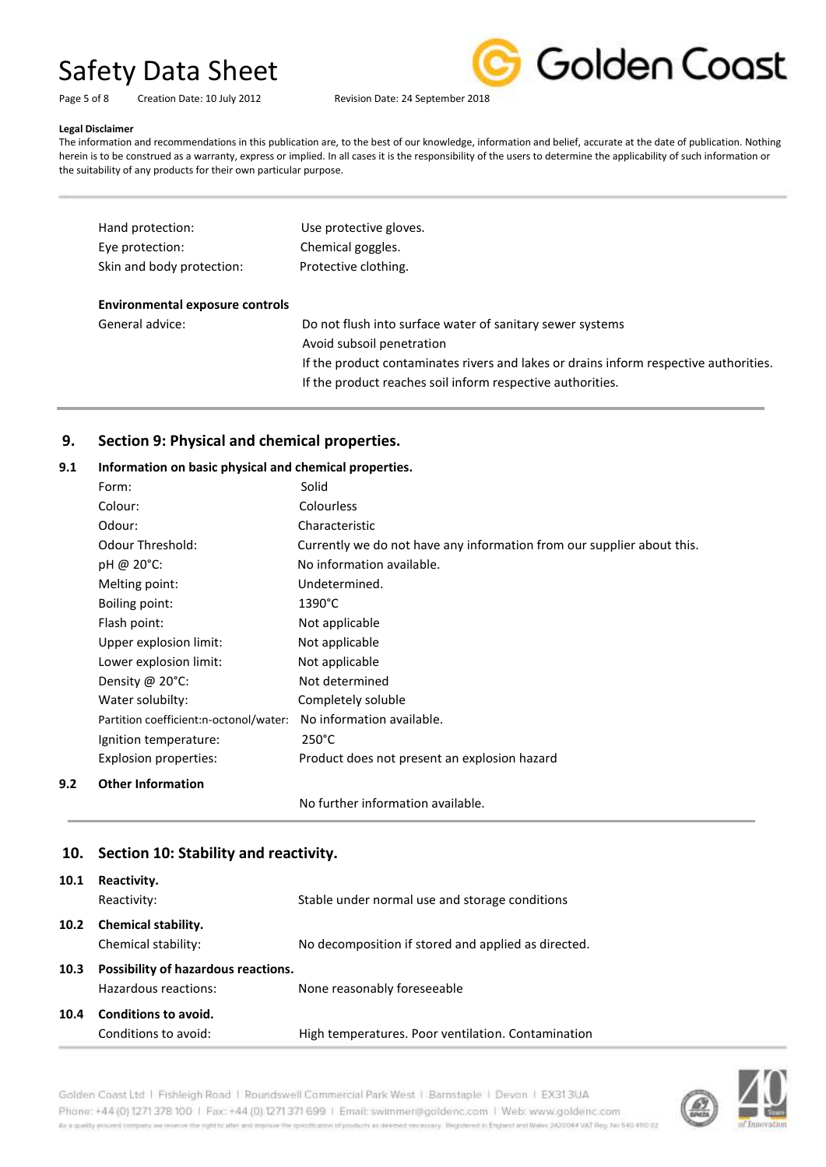Golden Coast

Page 5 of 8 Creation Date: 10 July 2012 Revision Date: 24 September 2018

### **Legal Disclaimer**

The information and recommendations in this publication are, to the best of our knowledge, information and belief, accurate at the date of publication. Nothing herein is to be construed as a warranty, express or implied. In all cases it is the responsibility of the users to determine the applicability of such information or the suitability of any products for their own particular purpose.

| Hand protection:                       | Use protective gloves.                                                                |
|----------------------------------------|---------------------------------------------------------------------------------------|
| Eye protection:                        | Chemical goggles.                                                                     |
| Skin and body protection:              | Protective clothing.                                                                  |
| <b>Environmental exposure controls</b> |                                                                                       |
| General advice:                        | Do not flush into surface water of sanitary sewer systems                             |
|                                        | Avoid subsoil penetration                                                             |
|                                        | If the product contaminates rivers and lakes or drains inform respective authorities. |
|                                        | If the product reaches soil inform respective authorities.                            |

# **9. Section 9: Physical and chemical properties.**

### **9.1 Information on basic physical and chemical properties.**

| Form:                                  | Solid                                                                  |
|----------------------------------------|------------------------------------------------------------------------|
| Colour:                                | <b>Colourless</b>                                                      |
| Odour:                                 | Characteristic                                                         |
| <b>Odour Threshold:</b>                | Currently we do not have any information from our supplier about this. |
| $pH \omega 20^{\circ}$ C:              | No information available.                                              |
| Melting point:                         | Undetermined.                                                          |
| Boiling point:                         | $1390^{\circ}$ C                                                       |
| Flash point:                           | Not applicable                                                         |
| Upper explosion limit:                 | Not applicable                                                         |
| Lower explosion limit:                 | Not applicable                                                         |
| Density @ $20^{\circ}$ C:              | Not determined                                                         |
| Water solubilty:                       | Completely soluble                                                     |
| Partition coefficient:n-octonol/water: | No information available.                                              |
| Ignition temperature:                  | $250^{\circ}$ C                                                        |
| Explosion properties:                  | Product does not present an explosion hazard                           |
| <b>Other Information</b>               |                                                                        |

No further information available.

## **10. Section 10: Stability and reactivity.**

**9.2 Other Information**

| 10.1 | Reactivity.<br>Reactivity:                                  | Stable under normal use and storage conditions      |
|------|-------------------------------------------------------------|-----------------------------------------------------|
| 10.2 | <b>Chemical stability.</b><br>Chemical stability:           | No decomposition if stored and applied as directed. |
| 10.3 | Possibility of hazardous reactions.<br>Hazardous reactions: | None reasonably foreseeable                         |
| 10.4 | Conditions to avoid.<br>Conditions to avoid:                | High temperatures. Poor ventilation. Contamination  |

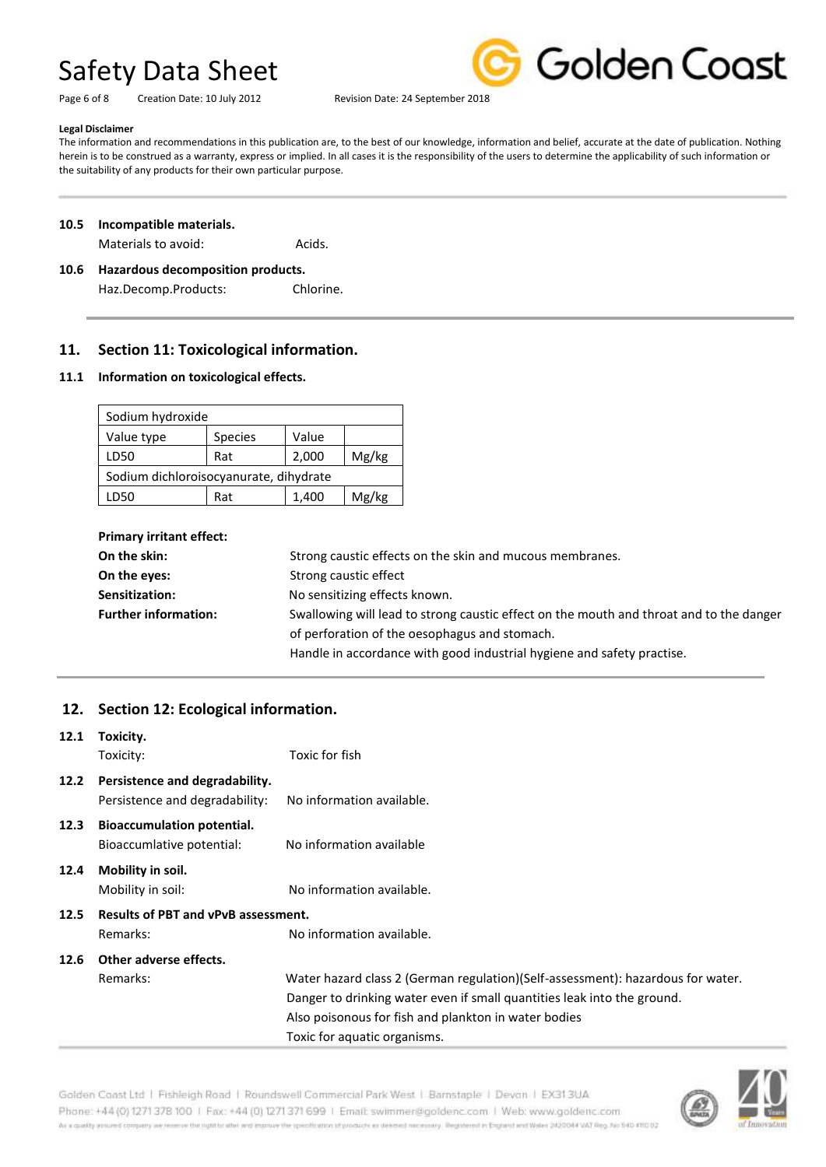Page 6 of 8 Creation Date: 10 July 2012 Revision Date: 24 September 2018



### **Legal Disclaimer**

The information and recommendations in this publication are, to the best of our knowledge, information and belief, accurate at the date of publication. Nothing herein is to be construed as a warranty, express or implied. In all cases it is the responsibility of the users to determine the applicability of such information or the suitability of any products for their own particular purpose.

### **10.5 Incompatible materials.**

Materials to avoid: Materials to avoid:

## **10.6 Hazardous decomposition products.** Haz.Decomp.Products: Chlorine.

## **11. Section 11: Toxicological information.**

### **11.1 Information on toxicological effects.**

| Sodium hydroxide                       |       |       |
|----------------------------------------|-------|-------|
| <b>Species</b>                         | Value |       |
| Rat                                    | 2,000 | Mg/kg |
| Sodium dichloroisocyanurate, dihydrate |       |       |
| Rat                                    | 1,400 | Mg/kg |
|                                        |       |       |

| <b>Primary irritant effect:</b> |                                                                                         |
|---------------------------------|-----------------------------------------------------------------------------------------|
| On the skin:                    | Strong caustic effects on the skin and mucous membranes.                                |
| On the eyes:                    | Strong caustic effect                                                                   |
| Sensitization:                  | No sensitizing effects known.                                                           |
| <b>Further information:</b>     | Swallowing will lead to strong caustic effect on the mouth and throat and to the danger |
|                                 | of perforation of the oesophagus and stomach.                                           |
|                                 | Handle in accordance with good industrial hygiene and safety practise.                  |

# **12. Section 12: Ecological information.**

| 12.1                                               | Toxicity.                         |                                                                                 |
|----------------------------------------------------|-----------------------------------|---------------------------------------------------------------------------------|
|                                                    | Toxicity:                         | Toxic for fish                                                                  |
| 12.2                                               | Persistence and degradability.    |                                                                                 |
|                                                    | Persistence and degradability:    | No information available.                                                       |
| 12.3                                               | <b>Bioaccumulation potential.</b> |                                                                                 |
|                                                    | Bioaccumlative potential:         | No information available                                                        |
| 12.4                                               | Mobility in soil.                 |                                                                                 |
|                                                    | Mobility in soil:                 | No information available.                                                       |
| <b>Results of PBT and vPvB assessment.</b><br>12.5 |                                   |                                                                                 |
|                                                    | Remarks:                          | No information available.                                                       |
| 12.6                                               | Other adverse effects.            |                                                                                 |
|                                                    | Remarks:                          | Water hazard class 2 (German regulation)(Self-assessment): hazardous for water. |
|                                                    |                                   | Danger to drinking water even if small quantities leak into the ground.         |
|                                                    |                                   | Also poisonous for fish and plankton in water bodies                            |
|                                                    |                                   | Toxic for aquatic organisms.                                                    |



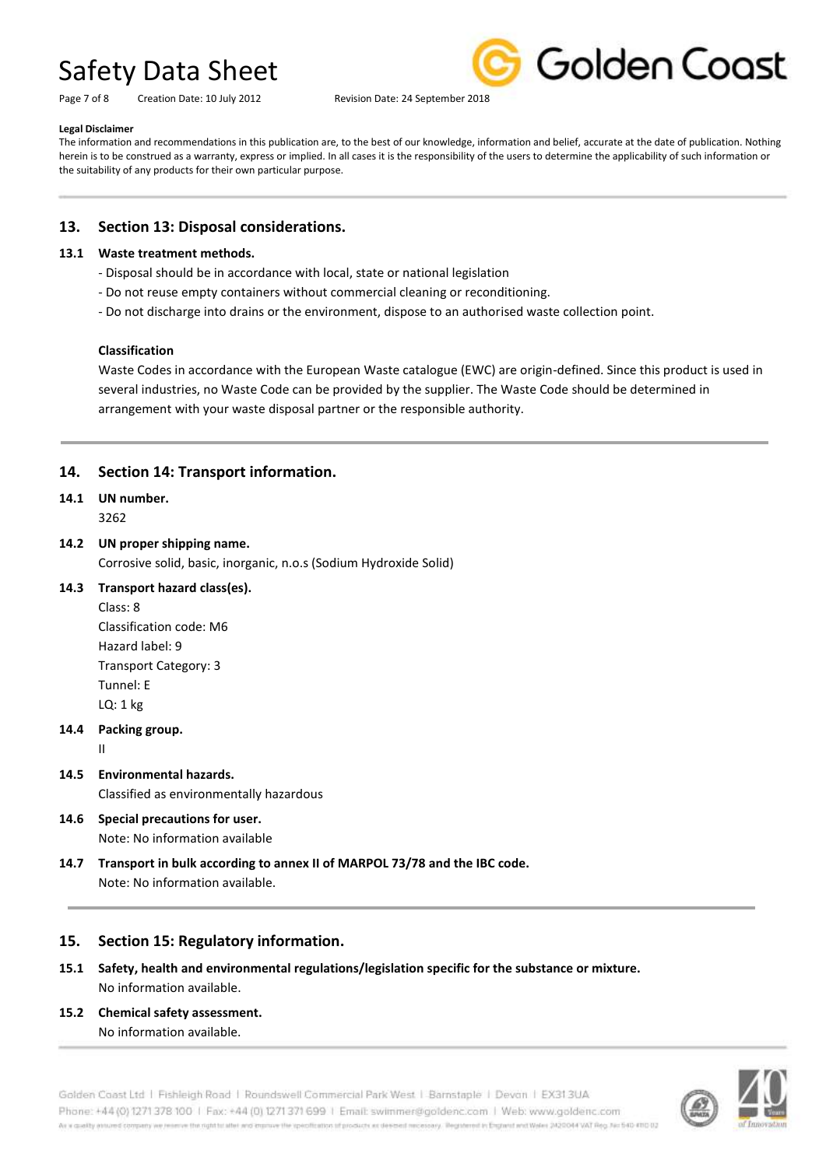Page 7 of 8 Creation Date: 10 July 2012 Revision Date: 24 September 2018



### **Legal Disclaimer**

The information and recommendations in this publication are, to the best of our knowledge, information and belief, accurate at the date of publication. Nothing herein is to be construed as a warranty, express or implied. In all cases it is the responsibility of the users to determine the applicability of such information or the suitability of any products for their own particular purpose.

# **13. Section 13: Disposal considerations.**

### **13.1 Waste treatment methods.**

- Disposal should be in accordance with local, state or national legislation
- Do not reuse empty containers without commercial cleaning or reconditioning.
- Do not discharge into drains or the environment, dispose to an authorised waste collection point.

### **Classification**

Waste Codes in accordance with the European Waste catalogue (EWC) are origin-defined. Since this product is used in several industries, no Waste Code can be provided by the supplier. The Waste Code should be determined in arrangement with your waste disposal partner or the responsible authority.

# **14. Section 14: Transport information.**

# **14.1 UN number.**

3262

### **14.2 UN proper shipping name.**

Corrosive solid, basic, inorganic, n.o.s (Sodium Hydroxide Solid)

### **14.3 Transport hazard class(es).**

Class: 8 Classification code: M6 Hazard label: 9 Transport Category: 3 Tunnel: E LQ: 1 kg

### **14.4 Packing group.**

II

- **14.5 Environmental hazards.** Classified as environmentally hazardous
- **14.6 Special precautions for user.** Note: No information available
- **14.7 Transport in bulk according to annex II of MARPOL 73/78 and the IBC code.** Note: No information available.

# **15. Section 15: Regulatory information.**

- **15.1 Safety, health and environmental regulations/legislation specific for the substance or mixture.** No information available.
- **15.2 Chemical safety assessment.** No information available.

Golden Coast Ltd | Fishleigh Road | Roundswell Commercial Park West | Barnstaple | Devon | EX31.3UA Phone: +44 (0) 1271 378 100 | Fax: +44 (0) 1271 371 699 | Email: swimmer@goldenc.com | Web: www.goldenc.com As a quality assumed company we reserve the right to allet and improve the is eoffratton of products as deemed recessary. Registered in England and Wales 2420044 VAT Reg. No 540-41030.